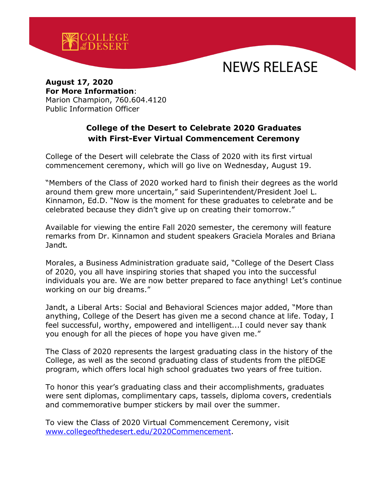

## NEWS RELEASE

## **August 17, 2020 For More Information**: Marion Champion, 760.604.4120 Public Information Officer

## **College of the Desert to Celebrate 2020 Graduates with First-Ever Virtual Commencement Ceremony**

College of the Desert will celebrate the Class of 2020 with its first virtual commencement ceremony, which will go live on Wednesday, August 19.

"Members of the Class of 2020 worked hard to finish their degrees as the world around them grew more uncertain," said Superintendent/President Joel L. Kinnamon, Ed.D. "Now is the moment for these graduates to celebrate and be celebrated because they didn't give up on creating their tomorrow."

Available for viewing the entire Fall 2020 semester, the ceremony will feature remarks from Dr. Kinnamon and student speakers Graciela Morales and Briana Jandt**.** 

Morales, a Business Administration graduate said, "College of the Desert Class of 2020, you all have inspiring stories that shaped you into the successful individuals you are. We are now better prepared to face anything! Let's continue working on our big dreams."

Jandt, a Liberal Arts: Social and Behavioral Sciences major added, "More than anything, College of the Desert has given me a second chance at life. Today, I feel successful, worthy, empowered and intelligent...I could never say thank you enough for all the pieces of hope you have given me."

The Class of 2020 represents the largest graduating class in the history of the College, as well as the second graduating class of students from the plEDGE program, which offers local high school graduates two years of free tuition.

To honor this year's graduating class and their accomplishments, graduates were sent diplomas, complimentary caps, tassels, diploma covers, credentials and commemorative bumper stickers by mail over the summer.

To view the Class of 2020 Virtual Commencement Ceremony, visit [www.collegeofthedesert.edu/2020Commencement.](http://www.collegeofthedesert.edu/2020Commencement)